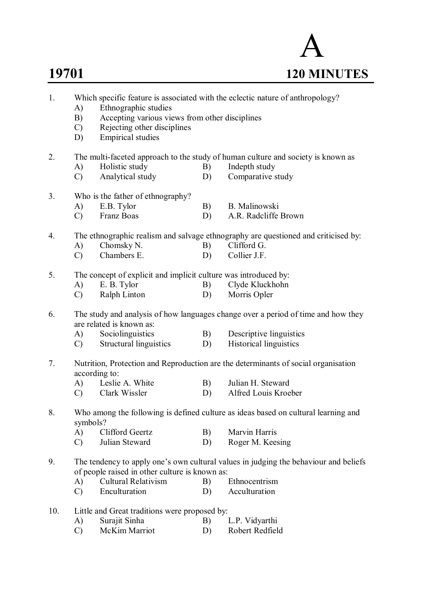

| 1.  | Which specific feature is associated with the eclectic nature of anthropology? |                                                                                                               |                                                                                                                                        |                         |  |  |  |  |  |  |
|-----|--------------------------------------------------------------------------------|---------------------------------------------------------------------------------------------------------------|----------------------------------------------------------------------------------------------------------------------------------------|-------------------------|--|--|--|--|--|--|
|     | A)                                                                             | Ethnographic studies                                                                                          |                                                                                                                                        |                         |  |  |  |  |  |  |
|     | B)                                                                             | Accepting various views from other disciplines                                                                |                                                                                                                                        |                         |  |  |  |  |  |  |
|     | C)                                                                             | Rejecting other disciplines                                                                                   |                                                                                                                                        |                         |  |  |  |  |  |  |
|     | D)                                                                             | <b>Empirical studies</b>                                                                                      |                                                                                                                                        |                         |  |  |  |  |  |  |
| 2.  |                                                                                | The multi-faceted approach to the study of human culture and society is known as                              |                                                                                                                                        |                         |  |  |  |  |  |  |
|     | A)                                                                             | Holistic study                                                                                                | B)                                                                                                                                     | Indepth study           |  |  |  |  |  |  |
|     | $\mathcal{C}$ )                                                                | Analytical study                                                                                              | D)                                                                                                                                     | Comparative study       |  |  |  |  |  |  |
| 3.  | Who is the father of ethnography?                                              |                                                                                                               |                                                                                                                                        |                         |  |  |  |  |  |  |
|     | A)                                                                             | E.B. Tylor                                                                                                    | B)                                                                                                                                     | B. Malinowski           |  |  |  |  |  |  |
|     | $\mathcal{C}$                                                                  | Franz Boas                                                                                                    | D)                                                                                                                                     | A.R. Radcliffe Brown    |  |  |  |  |  |  |
|     |                                                                                |                                                                                                               |                                                                                                                                        |                         |  |  |  |  |  |  |
| 4.  |                                                                                | The ethnographic realism and salvage ethnography are questioned and criticised by:                            |                                                                                                                                        |                         |  |  |  |  |  |  |
|     | A)                                                                             | Chomsky N.                                                                                                    | B)                                                                                                                                     | Clifford G.             |  |  |  |  |  |  |
|     | $\mathcal{C}$                                                                  | Chambers E.                                                                                                   | D)                                                                                                                                     | Collier J.F.            |  |  |  |  |  |  |
| 5.  | The concept of explicit and implicit culture was introduced by:                |                                                                                                               |                                                                                                                                        |                         |  |  |  |  |  |  |
|     | A)                                                                             | E. B. Tylor                                                                                                   | B)                                                                                                                                     | Clyde Kluckhohn         |  |  |  |  |  |  |
|     | $\mathcal{C}$ )                                                                | Ralph Linton                                                                                                  | D)                                                                                                                                     | Morris Opler            |  |  |  |  |  |  |
| 6.  |                                                                                | The study and analysis of how languages change over a period of time and how they<br>are related is known as: |                                                                                                                                        |                         |  |  |  |  |  |  |
|     | A)                                                                             | Sociolinguistics                                                                                              | B)                                                                                                                                     | Descriptive linguistics |  |  |  |  |  |  |
|     | $\mathcal{C}$ )                                                                | Structural linguistics                                                                                        | D)                                                                                                                                     | Historical linguistics  |  |  |  |  |  |  |
| 7.  |                                                                                | Nutrition, Protection and Reproduction are the determinants of social organisation<br>according to:           |                                                                                                                                        |                         |  |  |  |  |  |  |
|     |                                                                                | A) Leslie A. White                                                                                            | B)                                                                                                                                     | Julian H. Steward       |  |  |  |  |  |  |
|     | $\mathcal{C}$                                                                  | Clark Wissler                                                                                                 | D)                                                                                                                                     | Alfred Louis Kroeber    |  |  |  |  |  |  |
| 8.  |                                                                                | Who among the following is defined culture as ideas based on cultural learning and<br>symbols?                |                                                                                                                                        |                         |  |  |  |  |  |  |
|     | A)                                                                             | <b>Clifford Geertz</b>                                                                                        | B)                                                                                                                                     | Marvin Harris           |  |  |  |  |  |  |
|     | $\mathcal{C}$                                                                  | Julian Steward                                                                                                | D)                                                                                                                                     | Roger M. Keesing        |  |  |  |  |  |  |
| 9.  |                                                                                |                                                                                                               | The tendency to apply one's own cultural values in judging the behaviour and beliefs<br>of people raised in other culture is known as: |                         |  |  |  |  |  |  |
|     | A)                                                                             | <b>Cultural Relativism</b>                                                                                    | B)                                                                                                                                     | Ethnocentrism           |  |  |  |  |  |  |
|     | $\mathcal{C}$                                                                  | Enculturation                                                                                                 | D)                                                                                                                                     | Acculturation           |  |  |  |  |  |  |
| 10. |                                                                                | Little and Great traditions were proposed by:                                                                 |                                                                                                                                        |                         |  |  |  |  |  |  |
|     | A)                                                                             | Surajit Sinha                                                                                                 | B)                                                                                                                                     | L.P. Vidyarthi          |  |  |  |  |  |  |
|     | $\mathcal{C}$                                                                  | McKim Marriot                                                                                                 | D)                                                                                                                                     | Robert Redfield         |  |  |  |  |  |  |
|     |                                                                                |                                                                                                               |                                                                                                                                        |                         |  |  |  |  |  |  |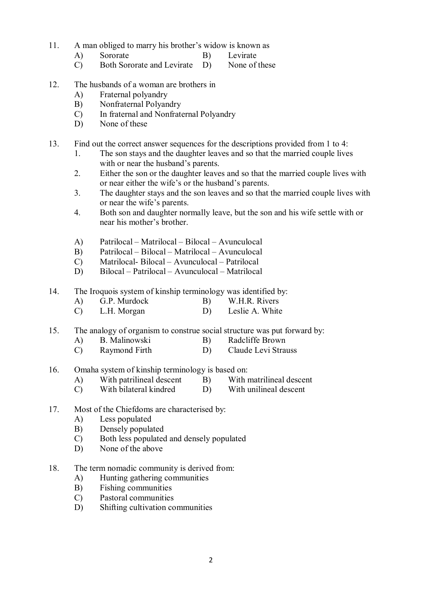- 11. A man obliged to marry his brother's widow is known as
	- A) Sororate B) Levirate
		-
	- C) Both Sororate and Levirate D) None of these
- 12. The husbands of a woman are brothers in
	- A) Fraternal polyandry
	- B) Nonfraternal Polyandry
	- C) In fraternal and Nonfraternal Polyandry
	- D) None of these
- 13. Find out the correct answer sequences for the descriptions provided from 1 to 4:
	- 1. The son stays and the daughter leaves and so that the married couple lives with or near the husband's parents.
	- 2. Either the son or the daughter leaves and so that the married couple lives with or near either the wife's or the husband's parents.
	- 3. The daughter stays and the son leaves and so that the married couple lives with or near the wife's parents.
	- 4. Both son and daughter normally leave, but the son and his wife settle with or near his mother's brother.
	- A) Patrilocal Matrilocal Bilocal Avunculocal
	- B) Patrilocal Bilocal Matrilocal Avunculocal
	- C) Matrilocal- Bilocal Avunculocal Patrilocal
	- D) Bilocal Patrilocal Avunculocal Matrilocal
- 14. The Iroquois system of kinship terminology was identified by:
	- A) G.P. Murdock B) W.H.R. Rivers
	- C) L.H. Morgan D) Leslie A. White
- 15. The analogy of organism to construe social structure was put forward by:
	- A) B. Malinowski B) Radcliffe Brown
	- C) Raymond Firth D) Claude Levi Strauss
- 16. Omaha system of kinship terminology is based on:<br>A) With natrilineal descent B) With matrilineal descent
	- A) With patrilineal descent B)
	- C) With bilateral kindred D) With unilineal descent
- 17. Most of the Chiefdoms are characterised by:
	- A) Less populated
	- B) Densely populated
	- C) Both less populated and densely populated
	- D) None of the above
- 18. The term nomadic community is derived from:
	- A) Hunting gathering communities
	- B) Fishing communities
	- C) Pastoral communities
	- D) Shifting cultivation communities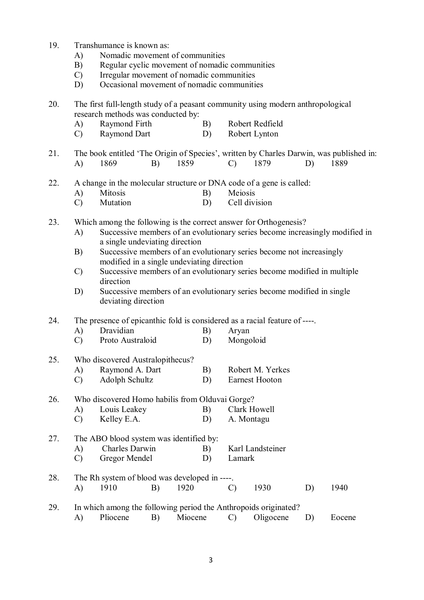- 19. Transhumance is known as:
	- A) Nomadic movement of communities
	- B) Regular cyclic movement of nomadic communities
	- C) Irregular movement of nomadic communities
	- D) Occasional movement of nomadic communities

## 20. The first full-length study of a peasant community using modern anthropological research methods was conducted by:

- A) Raymond Firth B) Robert Redfield
- C) Raymond Dart D) Robert Lynton
- 21. The book entitled 'The Origin of Species', written by Charles Darwin, was published in: A) 1869 B) 1859 C) 1879 D) 1889
- 22. A change in the molecular structure or DNA code of a gene is called:
	- A) Mitosis B) Meiosis
	- C) Mutation D) Cell division
- 23. Which among the following is the correct answer for Orthogenesis?
	- A) Successive members of an evolutionary series become increasingly modified in a single undeviating direction
	- B) Successive members of an evolutionary series become not increasingly modified in a single undeviating direction
	- C) Successive members of an evolutionary series become modified in multiple direction
	- D) Successive members of an evolutionary series become modified in single deviating direction
- 24. The presence of epicanthic fold is considered as a racial feature of ----.
	- A) Dravidian B) Aryan
	- C) Proto Australoid D) Mongoloid
- 25. Who discovered Australopithecus? A) Raymond A. Dart B) Robert M. Yerkes
	- C) Adolph Schultz D) Earnest Hooton

# 26. Who discovered Homo habilis from Olduvai Gorge? A) Louis Leakey B) Clark Howell<br>
C) Kellev E.A. D) A. Montagu

- Kelley E.A.
- 27. The ABO blood system was identified by: A) Charles Darwin B) Karl Landsteiner
	- C) Gregor Mendel D) Lamark
- 28. The Rh system of blood was developed in ----. A) 1910 B) 1920 C) 1930 D) 1940
- 29. In which among the following period the Anthropoids originated? A) Pliocene B) Miocene C) Oligocene D) Eocene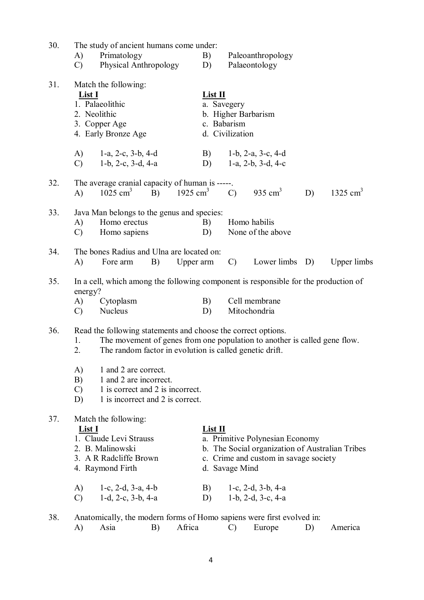| 30. | A)<br>$\mathcal{C}$                                                                                       | The study of ancient humans come under:<br>Primatology<br>Physical Anthropology                                                                                                                                                                    |                                                                                 |           | B)<br>D)                              |               | Paleoanthropology<br>Palaeontology                                                                                                                                      |    |                        |
|-----|-----------------------------------------------------------------------------------------------------------|----------------------------------------------------------------------------------------------------------------------------------------------------------------------------------------------------------------------------------------------------|---------------------------------------------------------------------------------|-----------|---------------------------------------|---------------|-------------------------------------------------------------------------------------------------------------------------------------------------------------------------|----|------------------------|
| 31. | Match the following:<br>List I<br>1. Palaeolithic<br>2. Neolithic<br>3. Copper Age<br>4. Early Bronze Age |                                                                                                                                                                                                                                                    | List II<br>a. Savegery<br>b. Higher Barbarism<br>c. Babarism<br>d. Civilization |           |                                       |               |                                                                                                                                                                         |    |                        |
|     | (A)<br>$\mathcal{C}$                                                                                      | 1-a, 2-c, $3-b$ , $4-d$<br>1-b, 2-c, $3-d$ , $4-a$                                                                                                                                                                                                 |                                                                                 |           | D)                                    |               | B) $1-b$ , 2-a, 3-c, 4-d<br>1-a, 2-b, 3-d, 4-c                                                                                                                          |    |                        |
| 32. | $\mathbf{A}$                                                                                              | The average cranial capacity of human is -----.<br>$1025$ cm <sup>3</sup>                                                                                                                                                                          |                                                                                 |           |                                       |               | B) $1925 \text{ cm}^3$ C) $935 \text{ cm}^3$                                                                                                                            | D) | $1325$ cm <sup>3</sup> |
| 33. | A)<br>$\mathcal{C}$                                                                                       | Java Man belongs to the genus and species:<br>Homo erectus<br>Homo sapiens                                                                                                                                                                         |                                                                                 |           | B)<br>D)                              |               | Homo habilis<br>None of the above                                                                                                                                       |    |                        |
| 34. | A)                                                                                                        | The bones Radius and Ulna are located on:<br>Fore arm                                                                                                                                                                                              | B)                                                                              | Upper arm |                                       | $\mathcal{C}$ | Lower limbs D)                                                                                                                                                          |    | <b>Upper</b> limbs     |
| 35. | energy?<br>A)<br>$\mathcal{C}$                                                                            | Cytoplasm<br>Nucleus                                                                                                                                                                                                                               |                                                                                 |           | B)<br>D)                              |               | In a cell, which among the following component is responsible for the production of<br>Cell membrane<br>Mitochondria                                                    |    |                        |
| 36. | 1.<br>2.<br>A)<br>B)<br>$\mathcal{C}$<br>D)                                                               | Read the following statements and choose the correct options.<br>The random factor in evolution is called genetic drift.<br>1 and 2 are correct.<br>1 and 2 are incorrect.<br>1 is correct and 2 is incorrect.<br>1 is incorrect and 2 is correct. |                                                                                 |           |                                       |               | The movement of genes from one population to another is called gene flow.                                                                                               |    |                        |
| 37. | List I<br>A)<br>$\mathcal{C}$                                                                             | Match the following:<br>1. Claude Levi Strauss<br>2. B. Malinowski<br>3. A R Radcliffe Brown<br>4. Raymond Firth<br>1-c, 2-d, 3-a, 4-b<br>1-d, 2-c, $3-b$ , $4-a$                                                                                  |                                                                                 |           | List II<br>d. Savage Mind<br>B)<br>D) |               | a. Primitive Polynesian Economy<br>b. The Social organization of Australian Tribes<br>c. Crime and custom in savage society<br>1-c, 2-d, 3-b, 4-a<br>1-b, 2-d, 3-c, 4-a |    |                        |
| 38. | A)                                                                                                        | Asia                                                                                                                                                                                                                                               | B)                                                                              | Africa    |                                       | $\mathcal{C}$ | Anatomically, the modern forms of Homo sapiens were first evolved in:<br>Europe                                                                                         | D) | America                |

4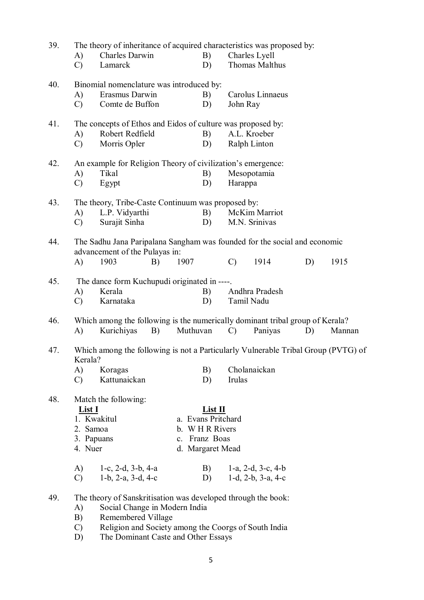| 39. | The theory of inheritance of acquired characteristics was proposed by:                       |                                                                               |          |                    |               |                            |    |        |  |
|-----|----------------------------------------------------------------------------------------------|-------------------------------------------------------------------------------|----------|--------------------|---------------|----------------------------|----|--------|--|
|     | A)                                                                                           | Charles Darwin                                                                |          | B)                 |               | Charles Lyell              |    |        |  |
|     | $\mathcal{C}$                                                                                | Lamarck                                                                       |          | D)                 |               | <b>Thomas Malthus</b>      |    |        |  |
| 40. | Binomial nomenclature was introduced by:                                                     |                                                                               |          |                    |               |                            |    |        |  |
|     | A)                                                                                           | Erasmus Darwin                                                                |          | B)                 |               | Carolus Linnaeus           |    |        |  |
|     | $\mathcal{C}$                                                                                | Comte de Buffon                                                               |          | D)                 | John Ray      |                            |    |        |  |
| 41. | The concepts of Ethos and Eidos of culture was proposed by:                                  |                                                                               |          |                    |               |                            |    |        |  |
|     | A)                                                                                           | Robert Redfield                                                               |          | B)                 |               | A.L. Kroeber               |    |        |  |
|     | $\mathcal{C}$                                                                                | Morris Opler                                                                  |          | D)                 |               | Ralph Linton               |    |        |  |
| 42. |                                                                                              | An example for Religion Theory of civilization's emergence:                   |          |                    |               |                            |    |        |  |
|     | A)                                                                                           | Tikal                                                                         |          | B)                 |               | Mesopotamia                |    |        |  |
|     | $\mathcal{C}$                                                                                | Egypt                                                                         |          | D)                 | Harappa       |                            |    |        |  |
| 43. | The theory, Tribe-Caste Continuum was proposed by:                                           |                                                                               |          |                    |               |                            |    |        |  |
|     | A)                                                                                           | L.P. Vidyarthi                                                                |          | B)                 |               | McKim Marriot              |    |        |  |
|     | $\mathcal{C}$                                                                                | Surajit Sinha                                                                 |          | D)                 |               | M.N. Srinivas              |    |        |  |
| 44. | The Sadhu Jana Paripalana Sangham was founded for the social and economic                    |                                                                               |          |                    |               |                            |    |        |  |
|     |                                                                                              | advancement of the Pulayas in:                                                |          |                    |               |                            |    |        |  |
|     | A)                                                                                           | 1903<br>B)                                                                    | 1907     |                    | $\mathcal{C}$ | 1914                       | D) | 1915   |  |
| 45. | The dance form Kuchupudi originated in ----.                                                 |                                                                               |          |                    |               |                            |    |        |  |
|     | A)                                                                                           | Kerala                                                                        |          | B)                 |               | Andhra Pradesh             |    |        |  |
|     | $\mathcal{C}$                                                                                | Karnataka                                                                     |          | D)                 |               | Tamil Nadu                 |    |        |  |
| 46. |                                                                                              | Which among the following is the numerically dominant tribal group of Kerala? |          |                    |               |                            |    |        |  |
|     | A)                                                                                           | Kurichiyas<br>B)                                                              | Muthuvan |                    | $\mathcal{C}$ | Paniyas                    | D) | Mannan |  |
| 47. | Which among the following is not a Particularly Vulnerable Tribal Group (PVTG) of<br>Kerala? |                                                                               |          |                    |               |                            |    |        |  |
|     | A)                                                                                           | Koragas                                                                       |          | B)                 |               | Cholanaickan               |    |        |  |
|     | $\mathcal{C}$                                                                                | Kattunaickan                                                                  |          | D)                 | Irulas        |                            |    |        |  |
| 48. |                                                                                              | Match the following:                                                          |          |                    |               |                            |    |        |  |
|     | <u>List I</u>                                                                                |                                                                               |          | $List$ II          |               |                            |    |        |  |
|     |                                                                                              | 1. Kwakitul                                                                   |          | a. Evans Pritchard |               |                            |    |        |  |
|     | 2. Samoa                                                                                     |                                                                               |          | b. WHR Rivers      |               |                            |    |        |  |
|     | 3. Papuans                                                                                   |                                                                               |          | c. Franz Boas      |               |                            |    |        |  |
|     | 4. Nuer<br>d. Margaret Mead                                                                  |                                                                               |          |                    |               |                            |    |        |  |
|     | A)                                                                                           | 1-c, 2-d, 3-b, 4-a                                                            |          | B)                 |               | 1-a, 2-d, 3-c, 4-b         |    |        |  |
|     | $\mathcal{C}$                                                                                | $1-b$ , $2-a$ , $3-d$ , $4-c$                                                 |          | D)                 |               | 1-d, $2-b$ , $3-a$ , $4-c$ |    |        |  |
| 49. | The theory of Sanskritisation was developed through the book:                                |                                                                               |          |                    |               |                            |    |        |  |
|     | A)                                                                                           | Social Change in Modern India                                                 |          |                    |               |                            |    |        |  |
|     | B)                                                                                           | Remembered Village                                                            |          |                    |               |                            |    |        |  |
|     | Religion and Society among the Coorgs of South India<br>$\mathcal{C}$                        |                                                                               |          |                    |               |                            |    |        |  |
|     | The Dominant Caste and Other Essays<br>D)                                                    |                                                                               |          |                    |               |                            |    |        |  |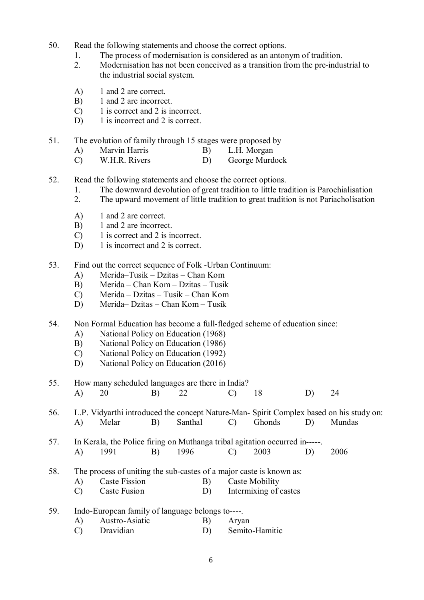- 50. Read the following statements and choose the correct options.
	- 1. The process of modernisation is considered as an antonym of tradition.
	- 2. Modernisation has not been conceived as a transition from the pre-industrial to the industrial social system.
	- A) 1 and 2 are correct.
	- B) 1 and 2 are incorrect.
	- C) 1 is correct and 2 is incorrect.
	- D) 1 is incorrect and 2 is correct.
- 51. The evolution of family through 15 stages were proposed by
	- A) Marvin Harris B) L.H. Morgan<br>C) W.H.R. Rivers D) George Murde
	- C) W.H.R. Rivers D) George Murdock
- 52. Read the following statements and choose the correct options.
	- 1. The downward devolution of great tradition to little tradition is Parochialisation<br>2. The upward movement of little tradition to great tradition is not Pariacholisation
	- 2. The upward movement of little tradition to great tradition is not Pariacholisation
	- A) 1 and 2 are correct.
	- B) 1 and 2 are incorrect.
	- C) 1 is correct and 2 is incorrect.
	- D) 1 is incorrect and 2 is correct.
- 53. Find out the correct sequence of Folk -Urban Continuum:
	- A) Merida–Tusik Dzitas Chan Kom
	- B) Merida Chan Kom Dzitas Tusik
	- C) Merida Dzitas Tusik Chan Kom
	- D) Merida– Dzitas Chan Kom Tusik
- 54. Non Formal Education has become a full-fledged scheme of education since:
	- A) National Policy on Education (1968)
	- B) National Policy on Education (1986)
	- C) National Policy on Education (1992)
	- D) National Policy on Education (2016)

55. How many scheduled languages are there in India? A) 20 B) 22 C) 18 D) 24

56. L.P. Vidyarthi introduced the concept Nature-Man- Spirit Complex based on his study on: A) Melar B) Santhal C) Ghonds D) Mundas

- 57. In Kerala, the Police firing on Muthanga tribal agitation occurred in-----. A) 1991 B) 1996 C) 2003 D) 2006
- 58. The process of uniting the sub-castes of a major caste is known as:
	- A) Caste Fission B) Caste Mobility
	- C) Caste Fusion D) Intermixing of castes

59. Indo-European family of language belongs to----.

- A) Austro-Asiatic B) Aryan
- C) Dravidian D) Semito-Hamitic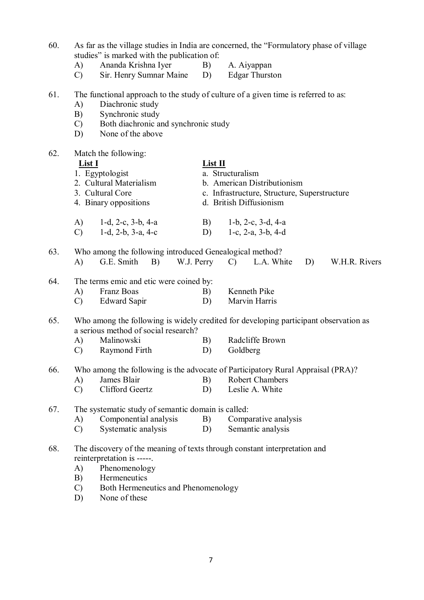60. As far as the village studies in India are concerned, the "Formulatory phase of village studies" is marked with the publication of:

- A) Ananda Krishna Iyer B) A. Aiyappan
- C) Sir. Henry Sumnar Maine D) Edgar Thurston

### 61. The functional approach to the study of culture of a given time is referred to as:

- A) Diachronic study
- B) Synchronic study
- C) Both diachronic and synchronic study
- D) None of the above

#### 62. Match the following:

- **List I List II** 1. Egyptologist 2. Cultural Materialism b. American Distributionism
- 3. Cultural Core c. Infrastructure, Structure, Superstructure
- 4. Binary oppositions d. British Diffusionism
- A) 1-d, 2-c, 3-b, 4-a B) 1-b, 2-c, 3-d, 4-a<br>C) 1-d, 2-b, 3-a, 4-c D) 1-c, 2-a, 3-b, 4-d C) 1-d, 2-b, 3-a, 4-c D) 1-c, 2-a, 3-b, 4-d
- 63. Who among the following introduced Genealogical method? A) G.E. Smith B) W.J. Perry C) L.A. White D) W.H.R. Rivers
- 64. The terms emic and etic were coined by: A) Franz Boas B) Kenneth Pike
	- C) Edward Sapir D) Marvin Harris
- 65. Who among the following is widely credited for developing participant observation as a serious method of social research?
	- A) Malinowski B) Radcliffe Brown
	- C) Raymond Firth D) Goldberg
- 66. Who among the following is the advocate of Participatory Rural Appraisal (PRA)?
	- A) James Blair B) Robert Chambers
	- C) Clifford Geertz D) Leslie A. White
- 67. The systematic study of semantic domain is called:<br>A) Componential analysis B) Compo
	- A) Componential analysis B) Comparative analysis
		- C) Systematic analysis D) Semantic analysis
- 68. The discovery of the meaning of texts through constant interpretation and reinterpretation is -----.
	- A) Phenomenology
	- B) Hermeneutics
	- C) Both Hermeneutics and Phenomenology
	- D) None of these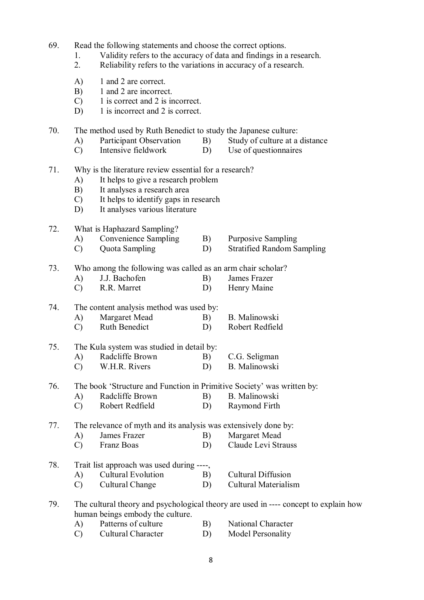- 69. Read the following statements and choose the correct options.
	- 1. Validity refers to the accuracy of data and findings in a research.
	- 2. Reliability refers to the variations in accuracy of a research.
	- A) 1 and 2 are correct.
	- B) 1 and 2 are incorrect.
	- C) 1 is correct and 2 is incorrect.
	- D) 1 is incorrect and 2 is correct.

70. The method used by Ruth Benedict to study the Japanese culture:

- 
- A) Participant Observation B) Study of culture at a distance
- C) Intensive fieldwork D) Use of questionnaires
- 71. Why is the literature review essential for a research?
	- A) It helps to give a research problem
	- B) It analyses a research area<br>C) It helps to identify gaps in
	- It helps to identify gaps in research
	- D) It analyses various literature

#### 72. What is Haphazard Sampling?

- A) Convenience Sampling B) Purposive Sampling
- C) Quota Sampling D) Stratified Random Sampling

73. Who among the following was called as an arm chair scholar?

- A) J.J. Bachofen B) James Frazer
- C) R.R. Marret D) Henry Maine

## 74. The content analysis method was used by:

- A) Margaret Mead B) B. Malinowski
- C) Ruth Benedict D) Robert Redfield

## 75. The Kula system was studied in detail by:

- A) Radcliffe Brown B) C.G. Seligman
- C) W.H.R. Rivers D) B. Malinowski
- 76. The book 'Structure and Function in Primitive Society' was written by:
	- A) Radcliffe Brown B) B. Malinowski
	- C) Robert Redfield D) Raymond Firth

#### 77. The relevance of myth and its analysis was extensively done by:

- A) James Frazer B) Margaret Mead
- C) Franz Boas D) Claude Levi Strauss

## 78. Trait list approach was used during ----,

- A) Cultural Evolution B) Cultural Diffusion
- C) Cultural Change D) Cultural Materialism

## 79. The cultural theory and psychological theory are used in ---- concept to explain how human beings embody the culture.

- A) Patterns of culture B) National Character
- C) Cultural Character D) Model Personality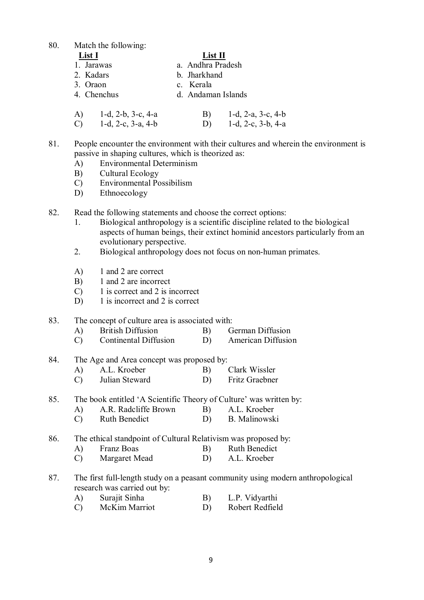80. Match the following:

| List I      | List II            |  |  |  |
|-------------|--------------------|--|--|--|
| 1. Jarawas  | a. Andhra Pradesh  |  |  |  |
| 2 Kadars    | b. Jharkhand       |  |  |  |
| 3. Oraon    | c. Kerala          |  |  |  |
| 4. Chenchus | d. Andaman Islands |  |  |  |

A) 1-d, 2-b, 3-c, 4-a B) 1-d, 2-a, 3-c, 4-b<br>C) 1-d, 2-c, 3-a, 4-b D) 1-d, 2-c, 3-b, 4-a C) 1-d, 2-c, 3-a, 4-b D)

81. People encounter the environment with their cultures and wherein the environment is passive in shaping cultures, which is theorized as:

- A) Environmental Determinism
- B) Cultural Ecology
- C) Environmental Possibilism
- D) Ethnoecology
- 82. Read the following statements and choose the correct options:
	- 1. Biological anthropology is a scientific discipline related to the biological aspects of human beings, their extinct hominid ancestors particularly from an evolutionary perspective.
	- 2. Biological anthropology does not focus on non-human primates.
	- A) 1 and 2 are correct
	- B) 1 and 2 are incorrect
	- C) 1 is correct and 2 is incorrect
	- D) 1 is incorrect and 2 is correct

### 83. The concept of culture area is associated with:

- A) British Diffusion B) German Diffusion
- C) Continental Diffusion D) American Diffusion
- 84. The Age and Area concept was proposed by:
	- A) A.L. Kroeber B) Clark Wissler
	- C) Julian Steward D) Fritz Graebner
- 85. The book entitled 'A Scientific Theory of Culture' was written by:
	- A) A.R. Radcliffe Brown B) A.L. Kroeber<br>
	C) Ruth Benedict D) B. Malinowski
	- Ruth Benedict D)
- 86. The ethical standpoint of Cultural Relativism was proposed by:
	- A) Franz Boas B) Ruth Benedict
	- C) Margaret Mead D) A.L. Kroeber
- 87. The first full-length study on a peasant community using modern anthropological research was carried out by:
	- A) Surajit Sinha B) L.P. Vidyarthi
	- C) McKim Marriot D) Robert Redfield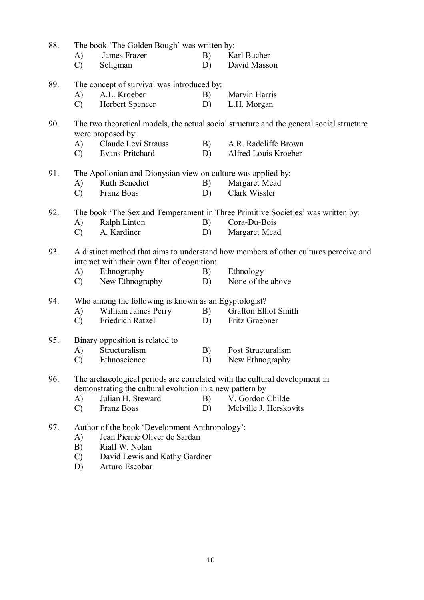| 88.                                                                               | The book 'The Golden Bough' was written by:                                                                   |                                                          |    |                             |  |  |  |  |  |
|-----------------------------------------------------------------------------------|---------------------------------------------------------------------------------------------------------------|----------------------------------------------------------|----|-----------------------------|--|--|--|--|--|
|                                                                                   | A)                                                                                                            | James Frazer                                             | B) | Karl Bucher                 |  |  |  |  |  |
|                                                                                   | $\mathcal{C}$                                                                                                 | Seligman                                                 | D) | David Masson                |  |  |  |  |  |
| 89.                                                                               | The concept of survival was introduced by:                                                                    |                                                          |    |                             |  |  |  |  |  |
|                                                                                   | A)                                                                                                            | A.L. Kroeber                                             | B) | Marvin Harris               |  |  |  |  |  |
|                                                                                   | $\mathcal{C}$                                                                                                 | Herbert Spencer                                          | D) | L.H. Morgan                 |  |  |  |  |  |
| 90.                                                                               | The two theoretical models, the actual social structure and the general social structure<br>were proposed by: |                                                          |    |                             |  |  |  |  |  |
|                                                                                   | A)                                                                                                            | Claude Levi Strauss                                      | B) | A.R. Radcliffe Brown        |  |  |  |  |  |
|                                                                                   | $\mathcal{C}$                                                                                                 | Evans-Pritchard                                          | D) | Alfred Louis Kroeber        |  |  |  |  |  |
| 91.                                                                               | The Apollonian and Dionysian view on culture was applied by:                                                  |                                                          |    |                             |  |  |  |  |  |
|                                                                                   | A)                                                                                                            | Ruth Benedict                                            | B) | Margaret Mead               |  |  |  |  |  |
|                                                                                   | $\mathcal{C}$                                                                                                 | Franz Boas                                               | D) | Clark Wissler               |  |  |  |  |  |
| 92.                                                                               | The book 'The Sex and Temperament in Three Primitive Societies' was written by:                               |                                                          |    |                             |  |  |  |  |  |
|                                                                                   | A)                                                                                                            | Ralph Linton                                             | B) | Cora-Du-Bois                |  |  |  |  |  |
|                                                                                   | $\mathcal{C}$                                                                                                 | A. Kardiner                                              | D) | Margaret Mead               |  |  |  |  |  |
| 93.                                                                               | A distinct method that aims to understand how members of other cultures perceive and                          |                                                          |    |                             |  |  |  |  |  |
|                                                                                   | A)                                                                                                            | Ethnography                                              | B) | Ethnology                   |  |  |  |  |  |
|                                                                                   | $\mathcal{C}$                                                                                                 | New Ethnography                                          | D) | None of the above           |  |  |  |  |  |
| 94.                                                                               | Who among the following is known as an Egyptologist?                                                          |                                                          |    |                             |  |  |  |  |  |
|                                                                                   | A)                                                                                                            | William James Perry                                      | B) | <b>Grafton Elliot Smith</b> |  |  |  |  |  |
|                                                                                   | $\mathcal{C}$                                                                                                 | Friedrich Ratzel                                         | D) | Fritz Graebner              |  |  |  |  |  |
| 95.                                                                               |                                                                                                               | Binary opposition is related to                          |    |                             |  |  |  |  |  |
|                                                                                   | A)                                                                                                            | Structuralism                                            | B) | Post Structuralism          |  |  |  |  |  |
|                                                                                   | $\mathcal{C}$                                                                                                 | Ethnoscience                                             | D) | New Ethnography             |  |  |  |  |  |
| 96.<br>The archaeological periods are correlated with the cultural development in |                                                                                                               |                                                          |    |                             |  |  |  |  |  |
|                                                                                   |                                                                                                               | demonstrating the cultural evolution in a new pattern by |    |                             |  |  |  |  |  |
|                                                                                   | A)                                                                                                            | Julian H. Steward                                        | B) | V. Gordon Childe            |  |  |  |  |  |
|                                                                                   | $\mathcal{C}$                                                                                                 | Franz Boas                                               | D) | Melville J. Herskovits      |  |  |  |  |  |
| 97.                                                                               | Author of the book 'Development Anthropology':                                                                |                                                          |    |                             |  |  |  |  |  |
|                                                                                   | A)                                                                                                            | Jean Pierrie Oliver de Sardan                            |    |                             |  |  |  |  |  |
|                                                                                   | B)                                                                                                            | Riall W. Nolan                                           |    |                             |  |  |  |  |  |
|                                                                                   | $\mathcal{C}$                                                                                                 | David Lewis and Kathy Gardner                            |    |                             |  |  |  |  |  |

D) Arturo Escobar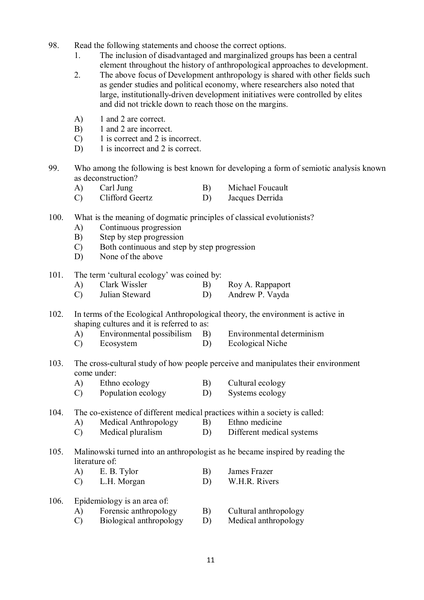- 98. Read the following statements and choose the correct options.
	- 1. The inclusion of disadvantaged and marginalized groups has been a central element throughout the history of anthropological approaches to development.
	- 2. The above focus of Development anthropology is shared with other fields such as gender studies and political economy, where researchers also noted that large, institutionally-driven development initiatives were controlled by elites and did not trickle down to reach those on the margins.
	- A) 1 and 2 are correct.
	- B) 1 and 2 are incorrect.
	- C) 1 is correct and 2 is incorrect.
	- D) 1 is incorrect and 2 is correct.
- 99. Who among the following is best known for developing a form of semiotic analysis known as deconstruction?
	- A) Carl Jung B) Michael Foucault
	- C) Clifford Geertz D) Jacques Derrida
- 100. What is the meaning of dogmatic principles of classical evolutionists?
	- A) Continuous progression
	- B) Step by step progression
	- C) Both continuous and step by step progression
	- D) None of the above
- 101. The term 'cultural ecology' was coined by:
	- A) Clark Wissler B) Roy A. Rappaport
	- C) Julian Steward D) Andrew P. Vayda
- 102. In terms of the Ecological Anthropological theory, the environment is active in shaping cultures and it is referred to as:
	- A) Environmental possibilism B) Environmental determinism
	- C) Ecosystem D) Ecological Niche
- 103. The cross-cultural study of how people perceive and manipulates their environment come under:
	- A) Ethno ecology B) Cultural ecology
	- C) Population ecology D) Systems ecology
- 104. The co-existence of different medical practices within a society is called:
	- A) Medical Anthropology B) Ethno medicine
	- C) Medical pluralism D) Different medical systems
- 105. Malinowski turned into an anthropologist as he became inspired by reading the literature of:
	- A) E. B. Tylor B) James Frazer
	- C) L.H. Morgan D) W.H.R. Rivers
- 106. Epidemiology is an area of:
	- A) Forensic anthropology B) Cultural anthropology
	- C) Biological anthropology D) Medical anthropology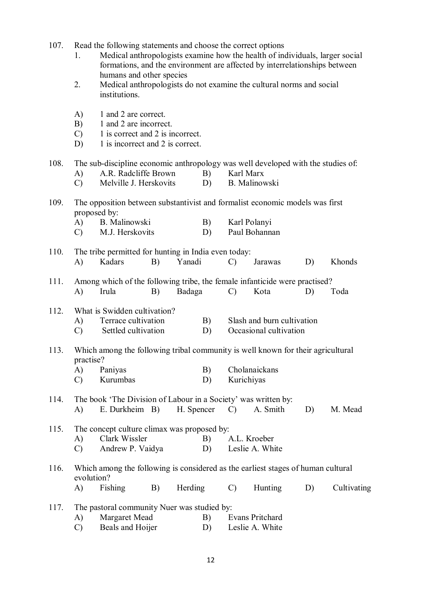- 107. Read the following statements and choose the correct options
	- 1. Medical anthropologists examine how the health of individuals, larger social formations, and the environment are affected by interrelationships between humans and other species
	- 2. Medical anthropologists do not examine the cultural norms and social institutions.
	- A) 1 and 2 are correct.
	- B) 1 and 2 are incorrect.
	- C) 1 is correct and 2 is incorrect.
	- D) 1 is incorrect and 2 is correct.

## 108. The sub-discipline economic anthropology was well developed with the studies of: A) A.R. Radcliffe Brown B) Karl Marx

C) Melville J. Herskovits D) B. Malinowski

## 109. The opposition between substantivist and formalist economic models was first proposed by:

- A) B. Malinowski B) Karl Polanyi<br>
C) M.J. Herskovits D) Paul Bohannan C) M.J. Herskovits D)
- 110. The tribe permitted for hunting in India even today: A) Kadars B) Yanadi C) Jarawas D) Khonds
- 111. Among which of the following tribe, the female infanticide were practised? A) Irula B) Badaga C) Kota D) Toda

## 112. What is Swidden cultivation?

- A) Terrace cultivation B) Slash and burn cultivation
- C) Settled cultivation D) Occasional cultivation

## 113. Which among the following tribal community is well known for their agricultural practise?

- A) Paniyas B) Cholanaickans
- C) Kurumbas D) Kurichiyas
- 114. The book 'The Division of Labour in a Society' was written by: A) E. Durkheim B) H. Spencer C) A. Smith D) M. Mead

## 115. The concept culture climax was proposed by: A) Clark Wissler B) A.L. Kroeber

C) Andrew P. Vaidya D) Leslie A. White

## 116. Which among the following is considered as the earliest stages of human cultural evolution?

A) Fishing B) Herding C) Hunting D) Cultivating

## 117. The pastoral community Nuer was studied by:

- A) Margaret Mead B) Evans Pritchard
- C) Beals and Hoijer D) Leslie A. White